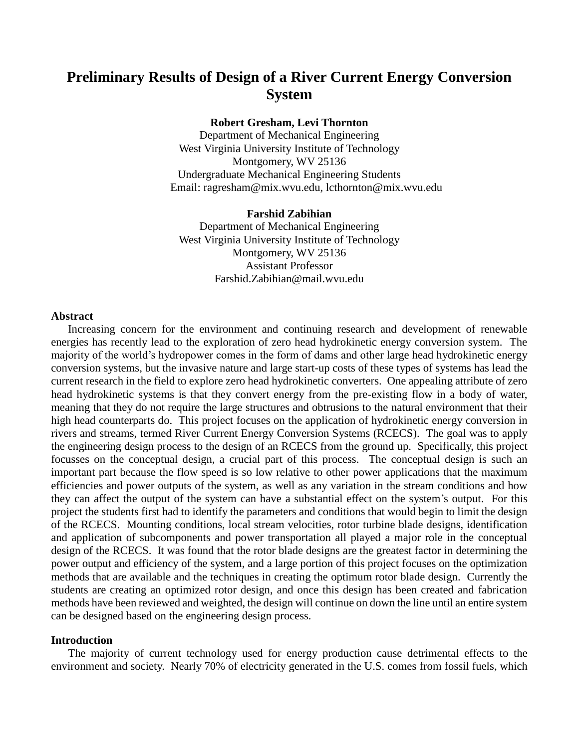# **Preliminary Results of Design of a River Current Energy Conversion System**

# **Robert Gresham, Levi Thornton**

Department of Mechanical Engineering West Virginia University Institute of Technology Montgomery, WV 25136 Undergraduate Mechanical Engineering Students Email: ragresham@mix.wvu.edu, lcthornton@mix.wvu.edu

## **Farshid Zabihian**

Department of Mechanical Engineering West Virginia University Institute of Technology Montgomery, WV 25136 Assistant Professor Farshid.Zabihian@mail.wvu.edu

# **Abstract**

Increasing concern for the environment and continuing research and development of renewable energies has recently lead to the exploration of zero head hydrokinetic energy conversion system. The majority of the world's hydropower comes in the form of dams and other large head hydrokinetic energy conversion systems, but the invasive nature and large start-up costs of these types of systems has lead the current research in the field to explore zero head hydrokinetic converters. One appealing attribute of zero head hydrokinetic systems is that they convert energy from the pre-existing flow in a body of water, meaning that they do not require the large structures and obtrusions to the natural environment that their high head counterparts do. This project focuses on the application of hydrokinetic energy conversion in rivers and streams, termed River Current Energy Conversion Systems (RCECS). The goal was to apply the engineering design process to the design of an RCECS from the ground up. Specifically, this project focusses on the conceptual design, a crucial part of this process. The conceptual design is such an important part because the flow speed is so low relative to other power applications that the maximum efficiencies and power outputs of the system, as well as any variation in the stream conditions and how they can affect the output of the system can have a substantial effect on the system's output. For this project the students first had to identify the parameters and conditions that would begin to limit the design of the RCECS. Mounting conditions, local stream velocities, rotor turbine blade designs, identification and application of subcomponents and power transportation all played a major role in the conceptual design of the RCECS. It was found that the rotor blade designs are the greatest factor in determining the power output and efficiency of the system, and a large portion of this project focuses on the optimization methods that are available and the techniques in creating the optimum rotor blade design. Currently the students are creating an optimized rotor design, and once this design has been created and fabrication methods have been reviewed and weighted, the design will continue on down the line until an entire system can be designed based on the engineering design process.

## **Introduction**

The majority of current technology used for energy production cause detrimental effects to the environment and society. Nearly 70% of electricity generated in the U.S. comes from fossil fuels, which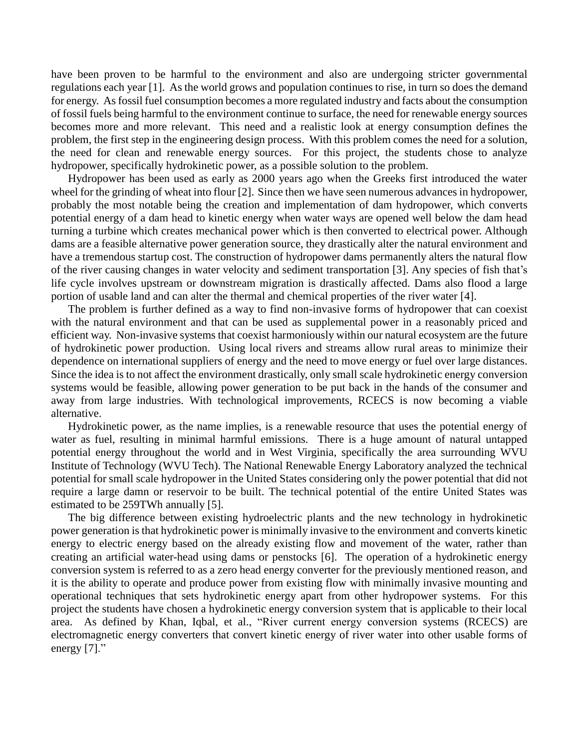have been proven to be harmful to the environment and also are undergoing stricter governmental regulations each year [1]. As the world grows and population continues to rise, in turn so does the demand for energy. As fossil fuel consumption becomes a more regulated industry and facts about the consumption of fossil fuels being harmful to the environment continue to surface, the need for renewable energy sources becomes more and more relevant. This need and a realistic look at energy consumption defines the problem, the first step in the engineering design process. With this problem comes the need for a solution, the need for clean and renewable energy sources. For this project, the students chose to analyze hydropower, specifically hydrokinetic power, as a possible solution to the problem.

Hydropower has been used as early as 2000 years ago when the Greeks first introduced the water wheel for the grinding of wheat into flour [2]. Since then we have seen numerous advances in hydropower, probably the most notable being the creation and implementation of dam hydropower, which converts potential energy of a dam head to kinetic energy when water ways are opened well below the dam head turning a turbine which creates mechanical power which is then converted to electrical power. Although dams are a feasible alternative power generation source, they drastically alter the natural environment and have a tremendous startup cost. The construction of hydropower dams permanently alters the natural flow of the river causing changes in water velocity and sediment transportation [3]. Any species of fish that's life cycle involves upstream or downstream migration is drastically affected. Dams also flood a large portion of usable land and can alter the thermal and chemical properties of the river water [4].

The problem is further defined as a way to find non-invasive forms of hydropower that can coexist with the natural environment and that can be used as supplemental power in a reasonably priced and efficient way. Non-invasive systems that coexist harmoniously within our natural ecosystem are the future of hydrokinetic power production. Using local rivers and streams allow rural areas to minimize their dependence on international suppliers of energy and the need to move energy or fuel over large distances. Since the idea is to not affect the environment drastically, only small scale hydrokinetic energy conversion systems would be feasible, allowing power generation to be put back in the hands of the consumer and away from large industries. With technological improvements, RCECS is now becoming a viable alternative.

Hydrokinetic power, as the name implies, is a renewable resource that uses the potential energy of water as fuel, resulting in minimal harmful emissions. There is a huge amount of natural untapped potential energy throughout the world and in West Virginia, specifically the area surrounding WVU Institute of Technology (WVU Tech). The National Renewable Energy Laboratory analyzed the technical potential for small scale hydropower in the United States considering only the power potential that did not require a large damn or reservoir to be built. The technical potential of the entire United States was estimated to be 259TWh annually [5].

The big difference between existing hydroelectric plants and the new technology in hydrokinetic power generation is that hydrokinetic power is minimally invasive to the environment and converts kinetic energy to electric energy based on the already existing flow and movement of the water, rather than creating an artificial water-head using dams or penstocks [6]. The operation of a hydrokinetic energy conversion system is referred to as a zero head energy converter for the previously mentioned reason, and it is the ability to operate and produce power from existing flow with minimally invasive mounting and operational techniques that sets hydrokinetic energy apart from other hydropower systems. For this project the students have chosen a hydrokinetic energy conversion system that is applicable to their local area. As defined by Khan, Iqbal, et al., "River current energy conversion systems (RCECS) are electromagnetic energy converters that convert kinetic energy of river water into other usable forms of energy [7]."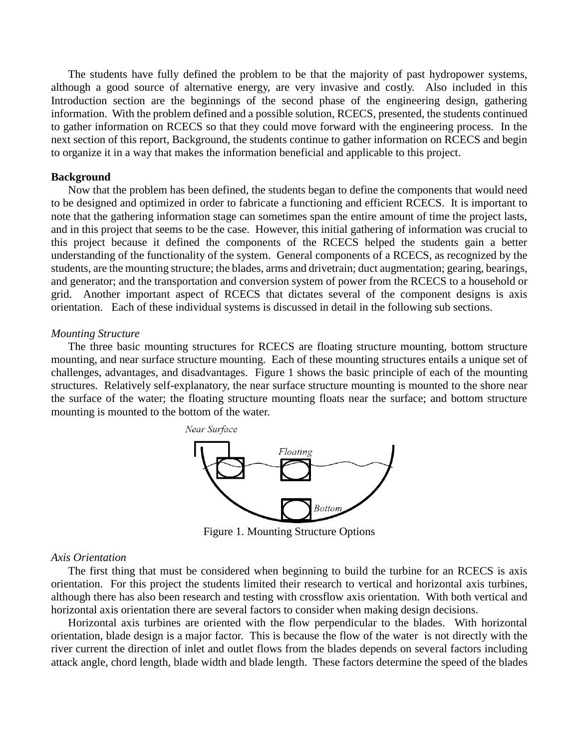The students have fully defined the problem to be that the majority of past hydropower systems, although a good source of alternative energy, are very invasive and costly. Also included in this Introduction section are the beginnings of the second phase of the engineering design, gathering information. With the problem defined and a possible solution, RCECS, presented, the students continued to gather information on RCECS so that they could move forward with the engineering process. In the next section of this report, Background, the students continue to gather information on RCECS and begin to organize it in a way that makes the information beneficial and applicable to this project.

## **Background**

Now that the problem has been defined, the students began to define the components that would need to be designed and optimized in order to fabricate a functioning and efficient RCECS. It is important to note that the gathering information stage can sometimes span the entire amount of time the project lasts, and in this project that seems to be the case. However, this initial gathering of information was crucial to this project because it defined the components of the RCECS helped the students gain a better understanding of the functionality of the system. General components of a RCECS, as recognized by the students, are the mounting structure; the blades, arms and drivetrain; duct augmentation; gearing, bearings, and generator; and the transportation and conversion system of power from the RCECS to a household or grid. Another important aspect of RCECS that dictates several of the component designs is axis orientation. Each of these individual systems is discussed in detail in the following sub sections.

## *Mounting Structure*

The three basic mounting structures for RCECS are floating structure mounting, bottom structure mounting, and near surface structure mounting. Each of these mounting structures entails a unique set of challenges, advantages, and disadvantages. Figure 1 shows the basic principle of each of the mounting structures. Relatively self-explanatory, the near surface structure mounting is mounted to the shore near the surface of the water; the floating structure mounting floats near the surface; and bottom structure mounting is mounted to the bottom of the water.



Figure 1. Mounting Structure Options

#### *Axis Orientation*

The first thing that must be considered when beginning to build the turbine for an RCECS is axis orientation. For this project the students limited their research to vertical and horizontal axis turbines, although there has also been research and testing with crossflow axis orientation. With both vertical and horizontal axis orientation there are several factors to consider when making design decisions.

Horizontal axis turbines are oriented with the flow perpendicular to the blades. With horizontal orientation, blade design is a major factor. This is because the flow of the water is not directly with the river current the direction of inlet and outlet flows from the blades depends on several factors including attack angle, chord length, blade width and blade length. These factors determine the speed of the blades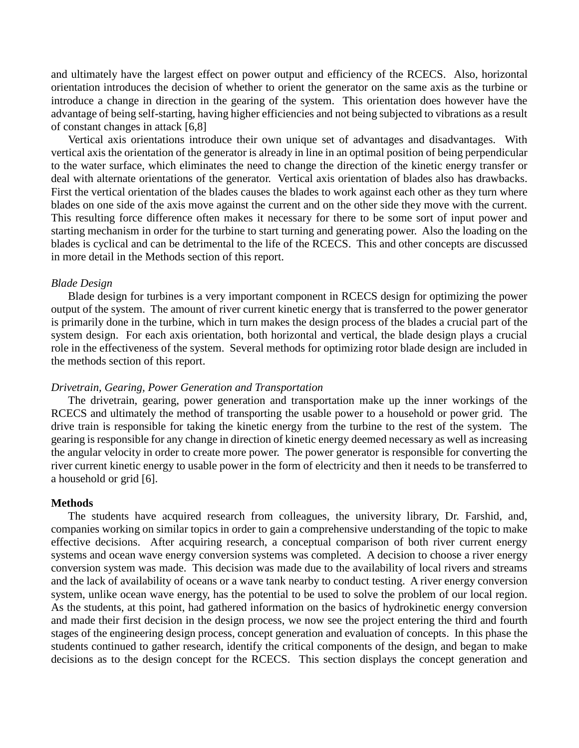and ultimately have the largest effect on power output and efficiency of the RCECS. Also, horizontal orientation introduces the decision of whether to orient the generator on the same axis as the turbine or introduce a change in direction in the gearing of the system. This orientation does however have the advantage of being self-starting, having higher efficiencies and not being subjected to vibrations as a result of constant changes in attack [6,8]

Vertical axis orientations introduce their own unique set of advantages and disadvantages. With vertical axis the orientation of the generator is already in line in an optimal position of being perpendicular to the water surface, which eliminates the need to change the direction of the kinetic energy transfer or deal with alternate orientations of the generator. Vertical axis orientation of blades also has drawbacks. First the vertical orientation of the blades causes the blades to work against each other as they turn where blades on one side of the axis move against the current and on the other side they move with the current. This resulting force difference often makes it necessary for there to be some sort of input power and starting mechanism in order for the turbine to start turning and generating power. Also the loading on the blades is cyclical and can be detrimental to the life of the RCECS. This and other concepts are discussed in more detail in the Methods section of this report.

#### *Blade Design*

Blade design for turbines is a very important component in RCECS design for optimizing the power output of the system. The amount of river current kinetic energy that is transferred to the power generator is primarily done in the turbine, which in turn makes the design process of the blades a crucial part of the system design. For each axis orientation, both horizontal and vertical, the blade design plays a crucial role in the effectiveness of the system. Several methods for optimizing rotor blade design are included in the methods section of this report.

# *Drivetrain, Gearing, Power Generation and Transportation*

The drivetrain, gearing, power generation and transportation make up the inner workings of the RCECS and ultimately the method of transporting the usable power to a household or power grid. The drive train is responsible for taking the kinetic energy from the turbine to the rest of the system. The gearing is responsible for any change in direction of kinetic energy deemed necessary as well as increasing the angular velocity in order to create more power. The power generator is responsible for converting the river current kinetic energy to usable power in the form of electricity and then it needs to be transferred to a household or grid [6].

## **Methods**

The students have acquired research from colleagues, the university library, Dr. Farshid, and, companies working on similar topics in order to gain a comprehensive understanding of the topic to make effective decisions. After acquiring research, a conceptual comparison of both river current energy systems and ocean wave energy conversion systems was completed. A decision to choose a river energy conversion system was made. This decision was made due to the availability of local rivers and streams and the lack of availability of oceans or a wave tank nearby to conduct testing. A river energy conversion system, unlike ocean wave energy, has the potential to be used to solve the problem of our local region. As the students, at this point, had gathered information on the basics of hydrokinetic energy conversion and made their first decision in the design process, we now see the project entering the third and fourth stages of the engineering design process, concept generation and evaluation of concepts. In this phase the students continued to gather research, identify the critical components of the design, and began to make decisions as to the design concept for the RCECS. This section displays the concept generation and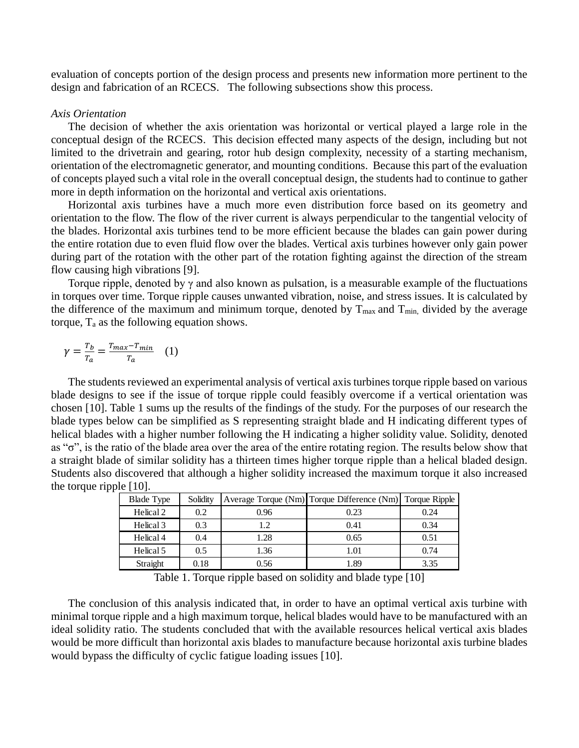evaluation of concepts portion of the design process and presents new information more pertinent to the design and fabrication of an RCECS. The following subsections show this process.

# *Axis Orientation*

The decision of whether the axis orientation was horizontal or vertical played a large role in the conceptual design of the RCECS. This decision effected many aspects of the design, including but not limited to the drivetrain and gearing, rotor hub design complexity, necessity of a starting mechanism, orientation of the electromagnetic generator, and mounting conditions. Because this part of the evaluation of concepts played such a vital role in the overall conceptual design, the students had to continue to gather more in depth information on the horizontal and vertical axis orientations.

Horizontal axis turbines have a much more even distribution force based on its geometry and orientation to the flow. The flow of the river current is always perpendicular to the tangential velocity of the blades. Horizontal axis turbines tend to be more efficient because the blades can gain power during the entire rotation due to even fluid flow over the blades. Vertical axis turbines however only gain power during part of the rotation with the other part of the rotation fighting against the direction of the stream flow causing high vibrations [9].

Torque ripple, denoted by γ and also known as pulsation, is a measurable example of the fluctuations in torques over time. Torque ripple causes unwanted vibration, noise, and stress issues. It is calculated by the difference of the maximum and minimum torque, denoted by  $T_{\text{max}}$  and  $T_{\text{min}}$ , divided by the average torque,  $T_a$  as the following equation shows.

$$
\gamma = \frac{T_b}{T_a} = \frac{T_{max} - T_{min}}{T_a} \quad (1)
$$

The students reviewed an experimental analysis of vertical axis turbines torque ripple based on various blade designs to see if the issue of torque ripple could feasibly overcome if a vertical orientation was chosen [10]. Table 1 sums up the results of the findings of the study. For the purposes of our research the blade types below can be simplified as S representing straight blade and H indicating different types of helical blades with a higher number following the H indicating a higher solidity value. Solidity, denoted as "σ", is the ratio of the blade area over the area of the entire rotating region. The results below show that a straight blade of similar solidity has a thirteen times higher torque ripple than a helical bladed design. Students also discovered that although a higher solidity increased the maximum torque it also increased the torque ripple [10].

| <b>Blade Type</b> | Solidity |      | Average Torque (Nm) Torque Difference (Nm) Torque Ripple |      |
|-------------------|----------|------|----------------------------------------------------------|------|
| Helical 2         | 0.2      | 0.96 | 0.23                                                     | 0.24 |
| Helical 3         | 0.3      | 1.2  | 0.41                                                     | 0.34 |
| Helical 4         | 0.4      | 1.28 | 0.65                                                     | 0.51 |
| Helical 5         | 0.5      | 1.36 | 1.01                                                     | 0.74 |
| Straight          | 0.18     | 0.56 | 1.89                                                     | 3.35 |

Table 1. Torque ripple based on solidity and blade type [10]

The conclusion of this analysis indicated that, in order to have an optimal vertical axis turbine with minimal torque ripple and a high maximum torque, helical blades would have to be manufactured with an ideal solidity ratio. The students concluded that with the available resources helical vertical axis blades would be more difficult than horizontal axis blades to manufacture because horizontal axis turbine blades would bypass the difficulty of cyclic fatigue loading issues [10].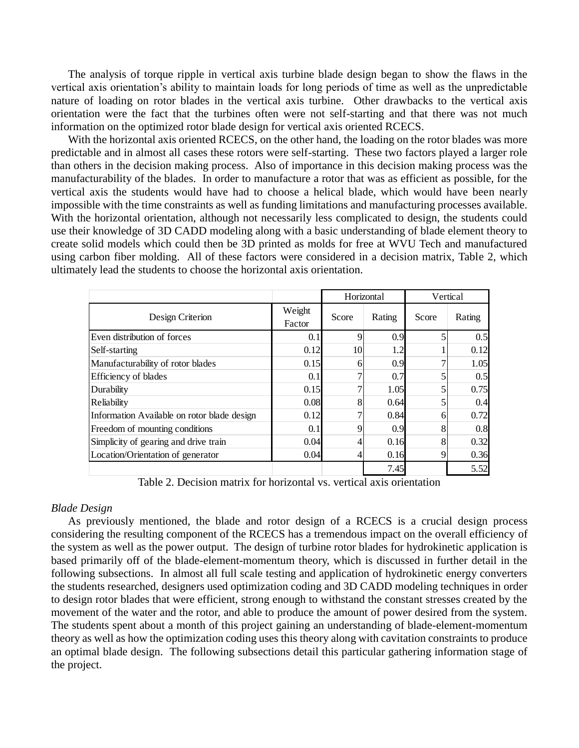The analysis of torque ripple in vertical axis turbine blade design began to show the flaws in the vertical axis orientation's ability to maintain loads for long periods of time as well as the unpredictable nature of loading on rotor blades in the vertical axis turbine. Other drawbacks to the vertical axis orientation were the fact that the turbines often were not self-starting and that there was not much information on the optimized rotor blade design for vertical axis oriented RCECS.

With the horizontal axis oriented RCECS, on the other hand, the loading on the rotor blades was more predictable and in almost all cases these rotors were self-starting. These two factors played a larger role than others in the decision making process. Also of importance in this decision making process was the manufacturability of the blades. In order to manufacture a rotor that was as efficient as possible, for the vertical axis the students would have had to choose a helical blade, which would have been nearly impossible with the time constraints as well as funding limitations and manufacturing processes available. With the horizontal orientation, although not necessarily less complicated to design, the students could use their knowledge of 3D CADD modeling along with a basic understanding of blade element theory to create solid models which could then be 3D printed as molds for free at WVU Tech and manufactured using carbon fiber molding. All of these factors were considered in a decision matrix, Table 2, which ultimately lead the students to choose the horizontal axis orientation.

|                                             |                  | Horizontal |        | Vertical |        |
|---------------------------------------------|------------------|------------|--------|----------|--------|
| Design Criterion                            | Weight<br>Factor | Score      | Rating | Score    | Rating |
| Even distribution of forces                 | 0.1              | 9          | 0.9    |          | 0.5    |
| Self-starting                               | 0.12             | 10         | 1.2    |          | 0.12   |
| Manufacturability of rotor blades           | 0.15             | 6          | 0.9    |          | 1.05   |
| <b>Efficiency of blades</b>                 | 0.1              | ⇁          | 0.7    | 5        | 0.5    |
| Durability                                  | 0.15             |            | 1.05   | 5        | 0.75   |
| Reliability                                 | 0.08             | 8          | 0.64   | 5        | 0.4    |
| Information Available on rotor blade design | 0.12             | ⇁          | 0.84   | 6        | 0.72   |
| Freedom of mounting conditions              | 0.1              | 9          | 0.9    | 8        | 0.8    |
| Simplicity of gearing and drive train       | 0.04             | 4          | 0.16   | 8        | 0.32   |
| Location/Orientation of generator           | 0.04             | 4          | 0.16   | 9        | 0.36   |
|                                             |                  |            | 7.45   |          | 5.52   |

Table 2. Decision matrix for horizontal vs. vertical axis orientation

# *Blade Design*

As previously mentioned, the blade and rotor design of a RCECS is a crucial design process considering the resulting component of the RCECS has a tremendous impact on the overall efficiency of the system as well as the power output. The design of turbine rotor blades for hydrokinetic application is based primarily off of the blade-element-momentum theory, which is discussed in further detail in the following subsections. In almost all full scale testing and application of hydrokinetic energy converters the students researched, designers used optimization coding and 3D CADD modeling techniques in order to design rotor blades that were efficient, strong enough to withstand the constant stresses created by the movement of the water and the rotor, and able to produce the amount of power desired from the system. The students spent about a month of this project gaining an understanding of blade-element-momentum theory as well as how the optimization coding uses this theory along with cavitation constraints to produce an optimal blade design. The following subsections detail this particular gathering information stage of the project.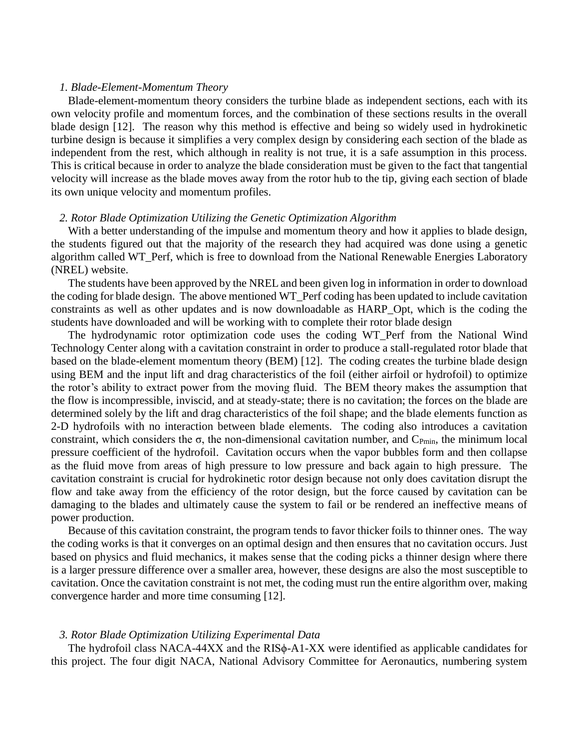## *1. Blade-Element-Momentum Theory*

Blade-element-momentum theory considers the turbine blade as independent sections, each with its own velocity profile and momentum forces, and the combination of these sections results in the overall blade design [12]. The reason why this method is effective and being so widely used in hydrokinetic turbine design is because it simplifies a very complex design by considering each section of the blade as independent from the rest, which although in reality is not true, it is a safe assumption in this process. This is critical because in order to analyze the blade consideration must be given to the fact that tangential velocity will increase as the blade moves away from the rotor hub to the tip, giving each section of blade its own unique velocity and momentum profiles.

# *2. Rotor Blade Optimization Utilizing the Genetic Optimization Algorithm*

With a better understanding of the impulse and momentum theory and how it applies to blade design, the students figured out that the majority of the research they had acquired was done using a genetic algorithm called WT\_Perf, which is free to download from the National Renewable Energies Laboratory (NREL) website.

The students have been approved by the NREL and been given log in information in order to download the coding for blade design. The above mentioned WT\_Perf coding has been updated to include cavitation constraints as well as other updates and is now downloadable as HARP\_Opt, which is the coding the students have downloaded and will be working with to complete their rotor blade design

The hydrodynamic rotor optimization code uses the coding WT\_Perf from the National Wind Technology Center along with a cavitation constraint in order to produce a stall-regulated rotor blade that based on the blade-element momentum theory (BEM) [12]. The coding creates the turbine blade design using BEM and the input lift and drag characteristics of the foil (either airfoil or hydrofoil) to optimize the rotor's ability to extract power from the moving fluid. The BEM theory makes the assumption that the flow is incompressible, inviscid, and at steady-state; there is no cavitation; the forces on the blade are determined solely by the lift and drag characteristics of the foil shape; and the blade elements function as 2-D hydrofoils with no interaction between blade elements. The coding also introduces a cavitation constraint, which considers the  $\sigma$ , the non-dimensional cavitation number, and C<sub>Pmin</sub>, the minimum local pressure coefficient of the hydrofoil. Cavitation occurs when the vapor bubbles form and then collapse as the fluid move from areas of high pressure to low pressure and back again to high pressure. The cavitation constraint is crucial for hydrokinetic rotor design because not only does cavitation disrupt the flow and take away from the efficiency of the rotor design, but the force caused by cavitation can be damaging to the blades and ultimately cause the system to fail or be rendered an ineffective means of power production.

Because of this cavitation constraint, the program tends to favor thicker foils to thinner ones. The way the coding works is that it converges on an optimal design and then ensures that no cavitation occurs. Just based on physics and fluid mechanics, it makes sense that the coding picks a thinner design where there is a larger pressure difference over a smaller area, however, these designs are also the most susceptible to cavitation. Once the cavitation constraint is not met, the coding must run the entire algorithm over, making convergence harder and more time consuming [12].

#### *3. Rotor Blade Optimization Utilizing Experimental Data*

The hydrofoil class NACA-44XX and the RIS $\phi$ -A1-XX were identified as applicable candidates for this project. The four digit NACA, National Advisory Committee for Aeronautics, numbering system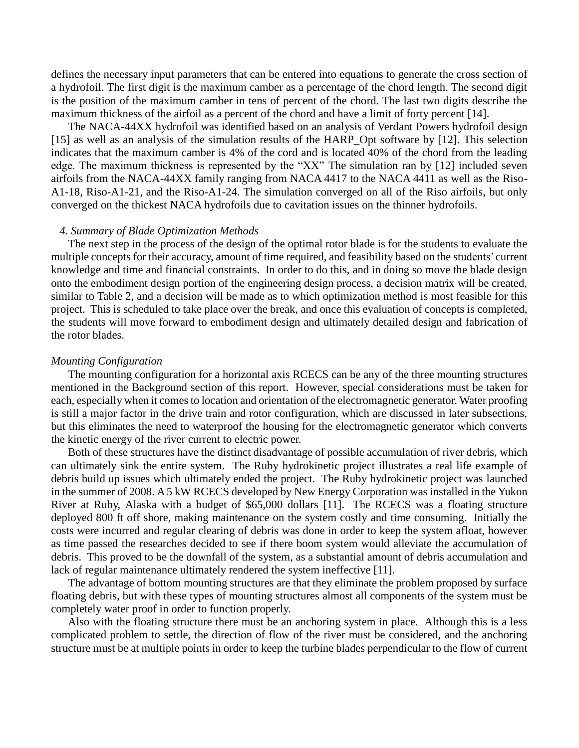defines the necessary input parameters that can be entered into equations to generate the cross section of a hydrofoil. The first digit is the maximum camber as a percentage of the chord length. The second digit is the position of the maximum camber in tens of percent of the chord. The last two digits describe the maximum thickness of the airfoil as a percent of the chord and have a limit of forty percent [14].

The NACA-44XX hydrofoil was identified based on an analysis of Verdant Powers hydrofoil design [15] as well as an analysis of the simulation results of the HARP\_Opt software by [12]. This selection indicates that the maximum camber is 4% of the cord and is located 40% of the chord from the leading edge. The maximum thickness is represented by the "XX" The simulation ran by [12] included seven airfoils from the NACA-44XX family ranging from NACA 4417 to the NACA 4411 as well as the Riso-A1-18, Riso-A1-21, and the Riso-A1-24. The simulation converged on all of the Riso airfoils, but only converged on the thickest NACA hydrofoils due to cavitation issues on the thinner hydrofoils.

#### *4. Summary of Blade Optimization Methods*

The next step in the process of the design of the optimal rotor blade is for the students to evaluate the multiple concepts for their accuracy, amount of time required, and feasibility based on the students' current knowledge and time and financial constraints. In order to do this, and in doing so move the blade design onto the embodiment design portion of the engineering design process, a decision matrix will be created, similar to Table 2, and a decision will be made as to which optimization method is most feasible for this project. This is scheduled to take place over the break, and once this evaluation of concepts is completed, the students will move forward to embodiment design and ultimately detailed design and fabrication of the rotor blades.

#### *Mounting Configuration*

The mounting configuration for a horizontal axis RCECS can be any of the three mounting structures mentioned in the Background section of this report. However, special considerations must be taken for each, especially when it comes to location and orientation of the electromagnetic generator. Water proofing is still a major factor in the drive train and rotor configuration, which are discussed in later subsections, but this eliminates the need to waterproof the housing for the electromagnetic generator which converts the kinetic energy of the river current to electric power.

Both of these structures have the distinct disadvantage of possible accumulation of river debris, which can ultimately sink the entire system. The Ruby hydrokinetic project illustrates a real life example of debris build up issues which ultimately ended the project. The Ruby hydrokinetic project was launched in the summer of 2008. A 5 kW RCECS developed by New Energy Corporation was installed in the Yukon River at Ruby, Alaska with a budget of \$65,000 dollars [11]. The RCECS was a floating structure deployed 800 ft off shore, making maintenance on the system costly and time consuming. Initially the costs were incurred and regular clearing of debris was done in order to keep the system afloat, however as time passed the researches decided to see if there boom system would alleviate the accumulation of debris. This proved to be the downfall of the system, as a substantial amount of debris accumulation and lack of regular maintenance ultimately rendered the system ineffective [11].

The advantage of bottom mounting structures are that they eliminate the problem proposed by surface floating debris, but with these types of mounting structures almost all components of the system must be completely water proof in order to function properly.

Also with the floating structure there must be an anchoring system in place. Although this is a less complicated problem to settle, the direction of flow of the river must be considered, and the anchoring structure must be at multiple points in order to keep the turbine blades perpendicular to the flow of current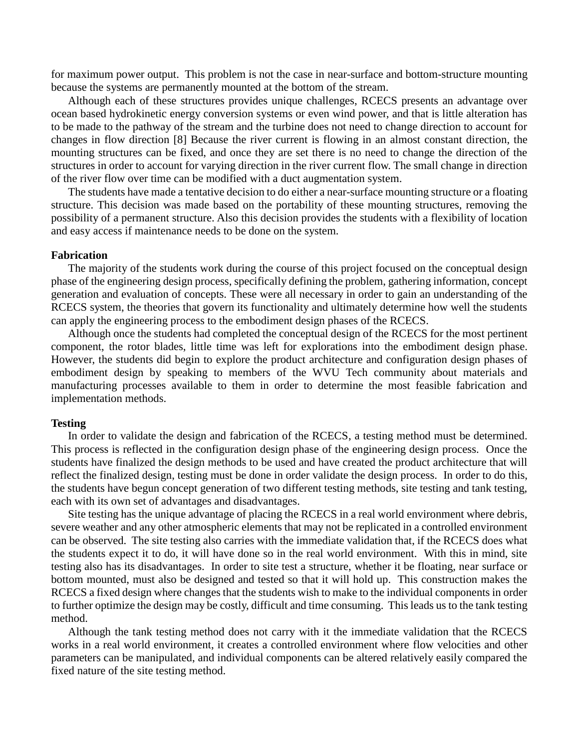for maximum power output. This problem is not the case in near-surface and bottom-structure mounting because the systems are permanently mounted at the bottom of the stream.

Although each of these structures provides unique challenges, RCECS presents an advantage over ocean based hydrokinetic energy conversion systems or even wind power, and that is little alteration has to be made to the pathway of the stream and the turbine does not need to change direction to account for changes in flow direction [8] Because the river current is flowing in an almost constant direction, the mounting structures can be fixed, and once they are set there is no need to change the direction of the structures in order to account for varying direction in the river current flow. The small change in direction of the river flow over time can be modified with a duct augmentation system.

The students have made a tentative decision to do either a near-surface mounting structure or a floating structure. This decision was made based on the portability of these mounting structures, removing the possibility of a permanent structure. Also this decision provides the students with a flexibility of location and easy access if maintenance needs to be done on the system.

## **Fabrication**

The majority of the students work during the course of this project focused on the conceptual design phase of the engineering design process, specifically defining the problem, gathering information, concept generation and evaluation of concepts. These were all necessary in order to gain an understanding of the RCECS system, the theories that govern its functionality and ultimately determine how well the students can apply the engineering process to the embodiment design phases of the RCECS.

Although once the students had completed the conceptual design of the RCECS for the most pertinent component, the rotor blades, little time was left for explorations into the embodiment design phase. However, the students did begin to explore the product architecture and configuration design phases of embodiment design by speaking to members of the WVU Tech community about materials and manufacturing processes available to them in order to determine the most feasible fabrication and implementation methods.

#### **Testing**

In order to validate the design and fabrication of the RCECS, a testing method must be determined. This process is reflected in the configuration design phase of the engineering design process. Once the students have finalized the design methods to be used and have created the product architecture that will reflect the finalized design, testing must be done in order validate the design process. In order to do this, the students have begun concept generation of two different testing methods, site testing and tank testing, each with its own set of advantages and disadvantages.

Site testing has the unique advantage of placing the RCECS in a real world environment where debris, severe weather and any other atmospheric elements that may not be replicated in a controlled environment can be observed. The site testing also carries with the immediate validation that, if the RCECS does what the students expect it to do, it will have done so in the real world environment. With this in mind, site testing also has its disadvantages. In order to site test a structure, whether it be floating, near surface or bottom mounted, must also be designed and tested so that it will hold up. This construction makes the RCECS a fixed design where changes that the students wish to make to the individual components in order to further optimize the design may be costly, difficult and time consuming. This leads us to the tank testing method.

Although the tank testing method does not carry with it the immediate validation that the RCECS works in a real world environment, it creates a controlled environment where flow velocities and other parameters can be manipulated, and individual components can be altered relatively easily compared the fixed nature of the site testing method.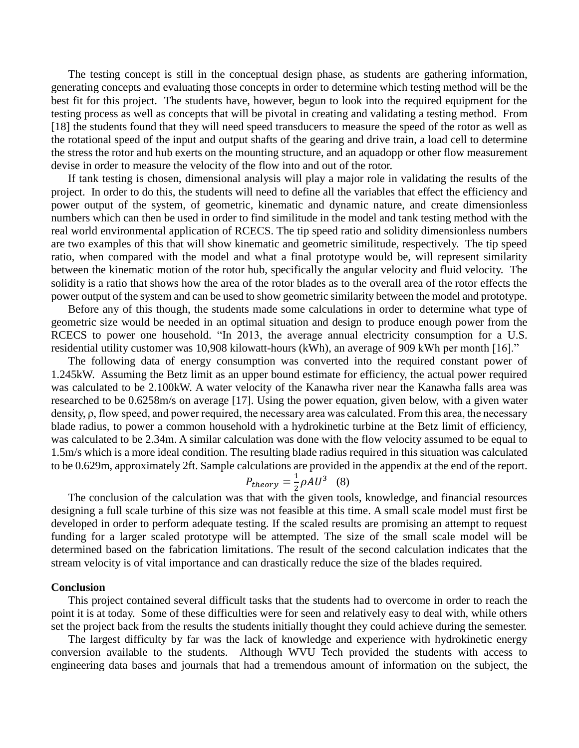The testing concept is still in the conceptual design phase, as students are gathering information, generating concepts and evaluating those concepts in order to determine which testing method will be the best fit for this project. The students have, however, begun to look into the required equipment for the testing process as well as concepts that will be pivotal in creating and validating a testing method. From [18] the students found that they will need speed transducers to measure the speed of the rotor as well as the rotational speed of the input and output shafts of the gearing and drive train, a load cell to determine the stress the rotor and hub exerts on the mounting structure, and an aquadopp or other flow measurement devise in order to measure the velocity of the flow into and out of the rotor.

If tank testing is chosen, dimensional analysis will play a major role in validating the results of the project. In order to do this, the students will need to define all the variables that effect the efficiency and power output of the system, of geometric, kinematic and dynamic nature, and create dimensionless numbers which can then be used in order to find similitude in the model and tank testing method with the real world environmental application of RCECS. The tip speed ratio and solidity dimensionless numbers are two examples of this that will show kinematic and geometric similitude, respectively. The tip speed ratio, when compared with the model and what a final prototype would be, will represent similarity between the kinematic motion of the rotor hub, specifically the angular velocity and fluid velocity. The solidity is a ratio that shows how the area of the rotor blades as to the overall area of the rotor effects the power output of the system and can be used to show geometric similarity between the model and prototype.

Before any of this though, the students made some calculations in order to determine what type of geometric size would be needed in an optimal situation and design to produce enough power from the RCECS to power one household. "In 2013, the average annual electricity consumption for a U.S. residential utility customer was 10,908 kilowatt-hours (kWh), an average of 909 kWh per month [16]."

The following data of energy consumption was converted into the required constant power of 1.245kW. Assuming the Betz limit as an upper bound estimate for efficiency, the actual power required was calculated to be 2.100kW. A water velocity of the Kanawha river near the Kanawha falls area was researched to be 0.6258m/s on average [17]. Using the power equation, given below, with a given water density, ρ, flow speed, and power required, the necessary area was calculated. From this area, the necessary blade radius, to power a common household with a hydrokinetic turbine at the Betz limit of efficiency, was calculated to be 2.34m. A similar calculation was done with the flow velocity assumed to be equal to 1.5m/s which is a more ideal condition. The resulting blade radius required in this situation was calculated to be 0.629m, approximately 2ft. Sample calculations are provided in the appendix at the end of the report.

$$
P_{theory} = \frac{1}{2} \rho A U^3 \quad (8)
$$

The conclusion of the calculation was that with the given tools, knowledge, and financial resources designing a full scale turbine of this size was not feasible at this time. A small scale model must first be developed in order to perform adequate testing. If the scaled results are promising an attempt to request funding for a larger scaled prototype will be attempted. The size of the small scale model will be determined based on the fabrication limitations. The result of the second calculation indicates that the stream velocity is of vital importance and can drastically reduce the size of the blades required.

#### **Conclusion**

This project contained several difficult tasks that the students had to overcome in order to reach the point it is at today. Some of these difficulties were for seen and relatively easy to deal with, while others set the project back from the results the students initially thought they could achieve during the semester.

The largest difficulty by far was the lack of knowledge and experience with hydrokinetic energy conversion available to the students. Although WVU Tech provided the students with access to engineering data bases and journals that had a tremendous amount of information on the subject, the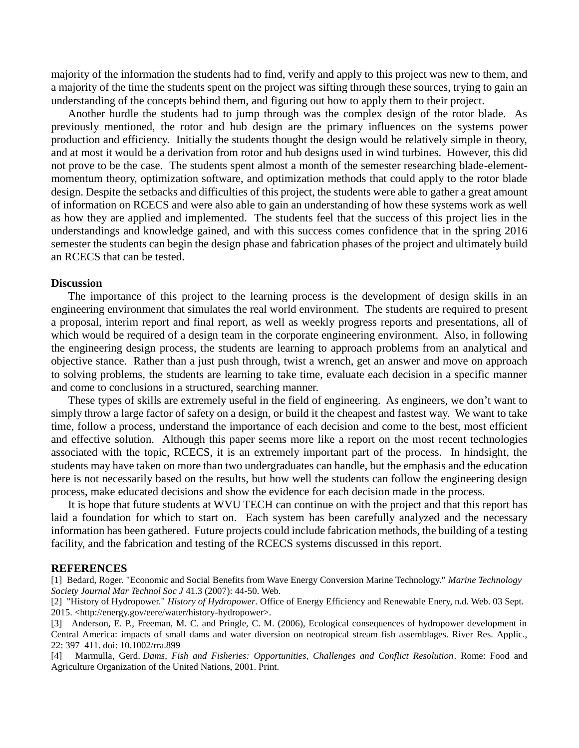majority of the information the students had to find, verify and apply to this project was new to them, and a majority of the time the students spent on the project was sifting through these sources, trying to gain an understanding of the concepts behind them, and figuring out how to apply them to their project.

Another hurdle the students had to jump through was the complex design of the rotor blade. As previously mentioned, the rotor and hub design are the primary influences on the systems power production and efficiency. Initially the students thought the design would be relatively simple in theory, and at most it would be a derivation from rotor and hub designs used in wind turbines. However, this did not prove to be the case. The students spent almost a month of the semester researching blade-elementmomentum theory, optimization software, and optimization methods that could apply to the rotor blade design. Despite the setbacks and difficulties of this project, the students were able to gather a great amount of information on RCECS and were also able to gain an understanding of how these systems work as well as how they are applied and implemented. The students feel that the success of this project lies in the understandings and knowledge gained, and with this success comes confidence that in the spring 2016 semester the students can begin the design phase and fabrication phases of the project and ultimately build an RCECS that can be tested.

## **Discussion**

The importance of this project to the learning process is the development of design skills in an engineering environment that simulates the real world environment. The students are required to present a proposal, interim report and final report, as well as weekly progress reports and presentations, all of which would be required of a design team in the corporate engineering environment. Also, in following the engineering design process, the students are learning to approach problems from an analytical and objective stance. Rather than a just push through, twist a wrench, get an answer and move on approach to solving problems, the students are learning to take time, evaluate each decision in a specific manner and come to conclusions in a structured, searching manner.

These types of skills are extremely useful in the field of engineering. As engineers, we don't want to simply throw a large factor of safety on a design, or build it the cheapest and fastest way. We want to take time, follow a process, understand the importance of each decision and come to the best, most efficient and effective solution. Although this paper seems more like a report on the most recent technologies associated with the topic, RCECS, it is an extremely important part of the process. In hindsight, the students may have taken on more than two undergraduates can handle, but the emphasis and the education here is not necessarily based on the results, but how well the students can follow the engineering design process, make educated decisions and show the evidence for each decision made in the process.

It is hope that future students at WVU TECH can continue on with the project and that this report has laid a foundation for which to start on. Each system has been carefully analyzed and the necessary information has been gathered. Future projects could include fabrication methods, the building of a testing facility, and the fabrication and testing of the RCECS systems discussed in this report.

#### **REFERENCES**

[1] Bedard, Roger. "Economic and Social Benefits from Wave Energy Conversion Marine Technology." *Marine Technology Society Journal Mar Technol Soc J* 41.3 (2007): 44-50. Web.

[2] "History of Hydropower." *History of Hydropower*. Office of Energy Efficiency and Renewable Enery, n.d. Web. 03 Sept. 2015. <http://energy.gov/eere/water/history-hydropower>.

[3] Anderson, E. P., Freeman, M. C. and Pringle, C. M. (2006), Ecological consequences of hydropower development in Central America: impacts of small dams and water diversion on neotropical stream fish assemblages. River Res. Applic., 22: 397–411. doi: 10.1002/rra.899

[4] Marmulla, Gerd. *Dams, Fish and Fisheries: Opportunities, Challenges and Conflict Resolution*. Rome: Food and Agriculture Organization of the United Nations, 2001. Print.